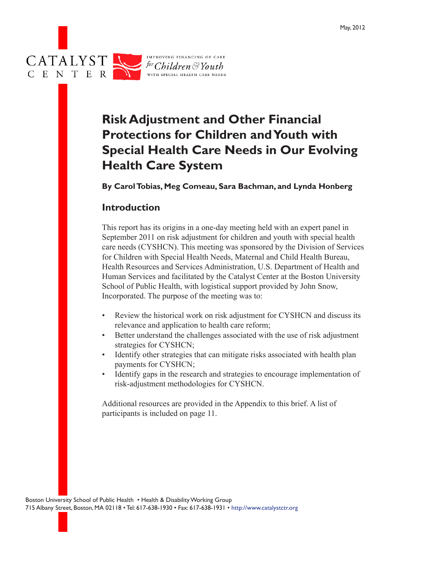

# **Risk Adjustment and Other Financial Protections for Children and Youth with Special Health Care Needs in Our Evolving Health Care System**

**By Carol Tobias, Meg Comeau, Sara Bachman, and Lynda Honberg**

#### **Introduction**

This report has its origins in a one-day meeting held with an expert panel in September 2011 on risk adjustment for children and youth with special health care needs (CYSHCN). This meeting was sponsored by the Division of Services for Children with Special Health Needs, Maternal and Child Health Bureau, Health Resources and Services Administration, U.S. Department of Health and Human Services and facilitated by the Catalyst Center at the Boston University School of Public Health, with logistical support provided by John Snow, Incorporated. The purpose of the meeting was to:

- Review the historical work on risk adjustment for CYSHCN and discuss its relevance and application to health care reform;
- Better understand the challenges associated with the use of risk adjustment strategies for CYSHCN;
- Identify other strategies that can mitigate risks associated with health plan payments for CYSHCN;
- Identify gaps in the research and strategies to encourage implementation of risk-adjustment methodologies for CYSHCN.

Additional resources are provided in the Appendix to this brief. A list of participants is included on page 11.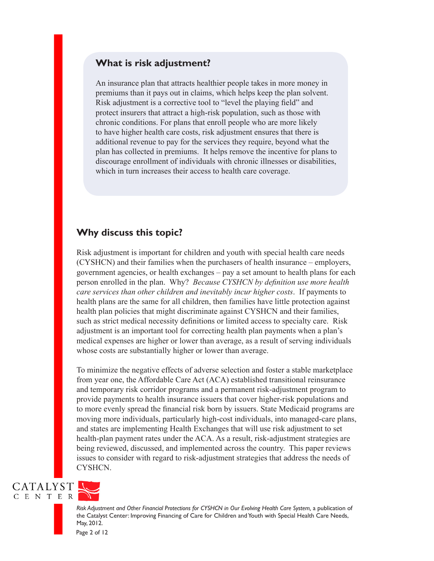#### **What is risk adjustment?**

An insurance plan that attracts healthier people takes in more money in premiums than it pays out in claims, which helps keep the plan solvent. Risk adjustment is a corrective tool to "level the playing field" and protect insurers that attract a high-risk population, such as those with chronic conditions. For plans that enroll people who are more likely to have higher health care costs, risk adjustment ensures that there is additional revenue to pay for the services they require, beyond what the plan has collected in premiums. It helps remove the incentive for plans to discourage enrollment of individuals with chronic illnesses or disabilities, which in turn increases their access to health care coverage.

#### **Why discuss this topic?**

Risk adjustment is important for children and youth with special health care needs (CYSHCN) and their families when the purchasers of health insurance – employers, government agencies, or health exchanges – pay a set amount to health plans for each person enrolled in the plan. Why? *Because CYSHCN by definition use more health care services than other children and inevitably incur higher costs*. If payments to health plans are the same for all children, then families have little protection against health plan policies that might discriminate against CYSHCN and their families, such as strict medical necessity definitions or limited access to specialty care. Risk adjustment is an important tool for correcting health plan payments when a plan's medical expenses are higher or lower than average, as a result of serving individuals whose costs are substantially higher or lower than average.

To minimize the negative effects of adverse selection and foster a stable marketplace from year one, the Affordable Care Act (ACA) established transitional reinsurance and temporary risk corridor programs and a permanent risk-adjustment program to provide payments to health insurance issuers that cover higher-risk populations and to more evenly spread the financial risk born by issuers. State Medicaid programs are moving more individuals, particularly high-cost individuals, into managed-care plans, and states are implementing Health Exchanges that will use risk adjustment to set health-plan payment rates under the ACA. As a result, risk-adjustment strategies are being reviewed, discussed, and implemented across the country. This paper reviews issues to consider with regard to risk-adjustment strategies that address the needs of CYSHCN.





*Risk Adjustment and Other Financial Protections for CYSHCN in Our Evolving Health Care System,* a publication of the Catalyst Center: Improving Financing of Care for Children and Youth with Special Health Care Needs, May, 2012.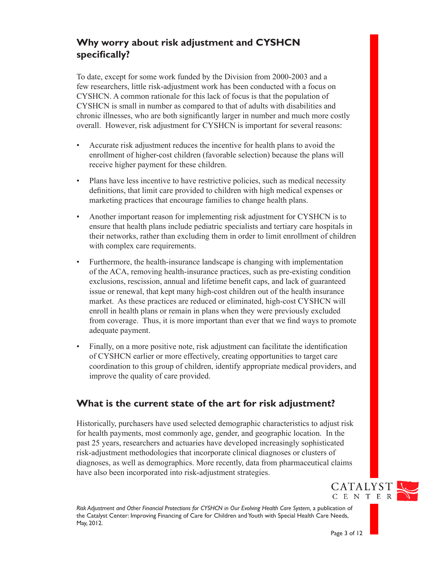# **Why worry about risk adjustment and CYSHCN specifically?**

To date, except for some work funded by the Division from 2000-2003 and a few researchers, little risk-adjustment work has been conducted with a focus on CYSHCN. A common rationale for this lack of focus is that the population of CYSHCN is small in number as compared to that of adults with disabilities and chronic illnesses, who are both significantly larger in number and much more costly overall. However, risk adjustment for CYSHCN is important for several reasons:

- Accurate risk adjustment reduces the incentive for health plans to avoid the enrollment of higher-cost children (favorable selection) because the plans will receive higher payment for these children.
- • Plans have less incentive to have restrictive policies, such as medical necessity definitions, that limit care provided to children with high medical expenses or marketing practices that encourage families to change health plans.
- Another important reason for implementing risk adjustment for CYSHCN is to ensure that health plans include pediatric specialists and tertiary care hospitals in their networks, rather than excluding them in order to limit enrollment of children with complex care requirements.
- • Furthermore, the health-insurance landscape is changing with implementation of the ACA, removing health-insurance practices, such as pre-existing condition exclusions, rescission, annual and lifetime benefit caps, and lack of guaranteed issue or renewal, that kept many high-cost children out of the health insurance market. As these practices are reduced or eliminated, high-cost CYSHCN will enroll in health plans or remain in plans when they were previously excluded from coverage. Thus, it is more important than ever that we find ways to promote adequate payment.
- Finally, on a more positive note, risk adjustment can facilitate the identification of CYSHCN earlier or more effectively, creating opportunities to target care coordination to this group of children, identify appropriate medical providers, and improve the quality of care provided.

### **What is the current state of the art for risk adjustment?**

Historically, purchasers have used selected demographic characteristics to adjust risk for health payments, most commonly age, gender, and geographic location. In the past 25 years, researchers and actuaries have developed increasingly sophisticated risk-adjustment methodologies that incorporate clinical diagnoses or clusters of diagnoses, as well as demographics. More recently, data from pharmaceutical claims have also been incorporated into risk-adjustment strategies.

*Risk Adjustment and Other Financial Protections for CYSHCN in Our Evolving Health Care System,* a publication of the Catalyst Center: Improving Financing of Care for Children and Youth with Special Health Care Needs, May, 2012.

**CATALYST** C E N T E R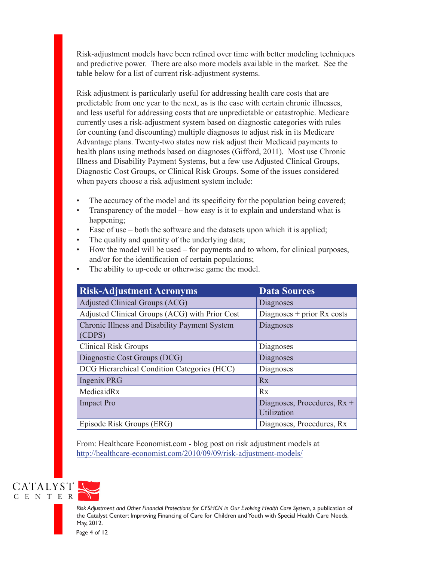Risk-adjustment models have been refined over time with better modeling techniques and predictive power. There are also more models available in the market. See the table below for a list of current risk-adjustment systems.

Risk adjustment is particularly useful for addressing health care costs that are predictable from one year to the next, as is the case with certain chronic illnesses, and less useful for addressing costs that are unpredictable or catastrophic. Medicare currently uses a risk-adjustment system based on diagnostic categories with rules for counting (and discounting) multiple diagnoses to adjust risk in its Medicare Advantage plans. Twenty-two states now risk adjust their Medicaid payments to health plans using methods based on diagnoses (Gifford, 2011). Most use Chronic Illness and Disability Payment Systems, but a few use Adjusted Clinical Groups, Diagnostic Cost Groups, or Clinical Risk Groups. Some of the issues considered when payers choose a risk adjustment system include:

- The accuracy of the model and its specificity for the population being covered;
- Transparency of the model how easy is it to explain and understand what is happening;
- Ease of use  $-$  both the software and the datasets upon which it is applied;
- The quality and quantity of the underlying data;
- How the model will be used for payments and to whom, for clinical purposes, and/or for the identification of certain populations;
- The ability to up-code or otherwise game the model.

| <b>Risk-Adjustment Acronyms</b>                         | <b>Data Sources</b>                        |
|---------------------------------------------------------|--------------------------------------------|
| Adjusted Clinical Groups (ACG)                          | Diagnoses                                  |
| Adjusted Clinical Groups (ACG) with Prior Cost          | Diagnoses $+$ prior Rx costs               |
| Chronic Illness and Disability Payment System<br>(CDPS) | Diagnoses                                  |
| <b>Clinical Risk Groups</b>                             | Diagnoses                                  |
| Diagnostic Cost Groups (DCG)                            | Diagnoses                                  |
| DCG Hierarchical Condition Categories (HCC)             | Diagnoses                                  |
| Ingenix PRG                                             | Rx                                         |
| MedicaidRx                                              | Rx                                         |
| <b>Impact Pro</b>                                       | Diagnoses, Procedures, Rx +<br>Utilization |
| Episode Risk Groups (ERG)                               | Diagnoses, Procedures, Rx                  |

From: Healthcare Economist.com - blog post on risk adjustment models at http://healthcare-economist.com/2010/09/09/risk-adjustment-models/



*Risk Adjustment and Other Financial Protections for CYSHCN in Our Evolving Health Care System,* a publication of the Catalyst Center: Improving Financing of Care for Children and Youth with Special Health Care Needs, May, 2012.

Page 4 of 12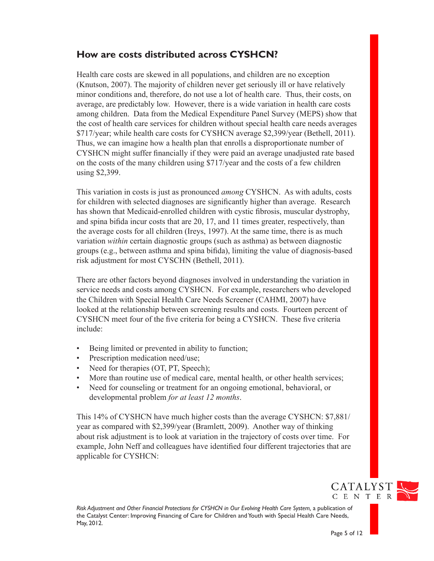#### **How are costs distributed across CYSHCN?**

Health care costs are skewed in all populations, and children are no exception (Knutson, 2007). The majority of children never get seriously ill or have relatively minor conditions and, therefore, do not use a lot of health care. Thus, their costs, on average, are predictably low. However, there is a wide variation in health care costs among children. Data from the Medical Expenditure Panel Survey (MEPS) show that the cost of health care services for children without special health care needs averages \$717/year; while health care costs for CYSHCN average \$2,399/year (Bethell, 2011). Thus, we can imagine how a health plan that enrolls a disproportionate number of CYSHCN might suffer financially if they were paid an average unadjusted rate based on the costs of the many children using \$717/year and the costs of a few children using \$2,399.

This variation in costs is just as pronounced *among* CYSHCN. As with adults, costs for children with selected diagnoses are significantly higher than average. Research has shown that Medicaid-enrolled children with cystic fibrosis, muscular dystrophy, and spina bifida incur costs that are 20, 17, and 11 times greater, respectively, than the average costs for all children (Ireys, 1997). At the same time, there is as much variation *within* certain diagnostic groups (such as asthma) as between diagnostic groups (e.g., between asthma and spina bifida), limiting the value of diagnosis-based risk adjustment for most CYSCHN (Bethell, 2011).

There are other factors beyond diagnoses involved in understanding the variation in service needs and costs among CYSHCN. For example, researchers who developed the Children with Special Health Care Needs Screener (CAHMI, 2007) have looked at the relationship between screening results and costs. Fourteen percent of CYSHCN meet four of the five criteria for being a CYSHCN. These five criteria include:

- Being limited or prevented in ability to function;
- Prescription medication need/use;
- Need for therapies (OT, PT, Speech);
- More than routine use of medical care, mental health, or other health services;
- Need for counseling or treatment for an ongoing emotional, behavioral, or developmental problem *for at least 12 months*.

This 14% of CYSHCN have much higher costs than the average CYSHCN: \$7,881/ year as compared with \$2,399/year (Bramlett, 2009). Another way of thinking about risk adjustment is to look at variation in the trajectory of costs over time. For example, John Neff and colleagues have identified four different trajectories that are applicable for CYSHCN:

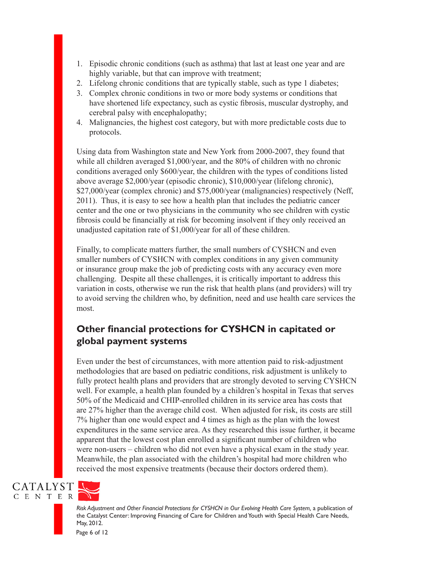- 1. Episodic chronic conditions (such as asthma) that last at least one year and are highly variable, but that can improve with treatment;
- 2. Lifelong chronic conditions that are typically stable, such as type 1 diabetes;
- 3. Complex chronic conditions in two or more body systems or conditions that have shortened life expectancy, such as cystic fibrosis, muscular dystrophy, and cerebral palsy with encephalopathy;
- 4. Malignancies, the highest cost category, but with more predictable costs due to protocols.

Using data from Washington state and New York from 2000-2007, they found that while all children averaged \$1,000/year, and the 80% of children with no chronic conditions averaged only \$600/year, the children with the types of conditions listed above average \$2,000/year (episodic chronic), \$10,000/year (lifelong chronic), \$27,000/year (complex chronic) and \$75,000/year (malignancies) respectively (Neff, 2011). Thus, it is easy to see how a health plan that includes the pediatric cancer center and the one or two physicians in the community who see children with cystic fibrosis could be financially at risk for becoming insolvent if they only received an unadjusted capitation rate of \$1,000/year for all of these children.

Finally, to complicate matters further, the small numbers of CYSHCN and even smaller numbers of CYSHCN with complex conditions in any given community or insurance group make the job of predicting costs with any accuracy even more challenging. Despite all these challenges, it is critically important to address this variation in costs, otherwise we run the risk that health plans (and providers) will try to avoid serving the children who, by definition, need and use health care services the most.

## **Other financial protections for CYSHCN in capitated or global payment systems**

Even under the best of circumstances, with more attention paid to risk-adjustment methodologies that are based on pediatric conditions, risk adjustment is unlikely to fully protect health plans and providers that are strongly devoted to serving CYSHCN well. For example, a health plan founded by a children's hospital in Texas that serves 50% of the Medicaid and CHIP-enrolled children in its service area has costs that are 27% higher than the average child cost. When adjusted for risk, its costs are still 7% higher than one would expect and 4 times as high as the plan with the lowest expenditures in the same service area. As they researched this issue further, it became apparent that the lowest cost plan enrolled a significant number of children who were non-users – children who did not even have a physical exam in the study year. Meanwhile, the plan associated with the children's hospital had more children who received the most expensive treatments (because their doctors ordered them).





*Risk Adjustment and Other Financial Protections for CYSHCN in Our Evolving Health Care System,* a publication of the Catalyst Center: Improving Financing of Care for Children and Youth with Special Health Care Needs, May, 2012.

Page 6 of 12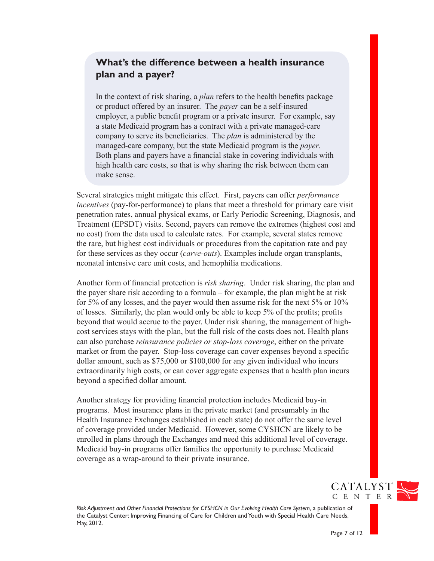#### **What's the difference between a health insurance plan and a payer?**

In the context of risk sharing, a *plan* refers to the health benefits package or product offered by an insurer. The *payer* can be a self-insured employer, a public benefit program or a private insurer. For example, say a state Medicaid program has a contract with a private managed-care company to serve its beneficiaries. The *plan* is administered by the managed-care company, but the state Medicaid program is the *payer*. Both plans and payers have a financial stake in covering individuals with high health care costs, so that is why sharing the risk between them can make sense.

Several strategies might mitigate this effect. First, payers can offer *performance incentives* (pay-for-performance) to plans that meet a threshold for primary care visit penetration rates, annual physical exams, or Early Periodic Screening, Diagnosis, and Treatment (EPSDT) visits. Second, payers can remove the extremes (highest cost and no cost) from the data used to calculate rates. For example, several states remove the rare, but highest cost individuals or procedures from the capitation rate and pay for these services as they occur (*carve-outs*). Examples include organ transplants, neonatal intensive care unit costs, and hemophilia medications.

Another form of financial protection is *risk sharing*. Under risk sharing, the plan and the payer share risk according to a formula – for example, the plan might be at risk for 5% of any losses, and the payer would then assume risk for the next 5% or 10% of losses. Similarly, the plan would only be able to keep 5% of the profits; profits beyond that would accrue to the payer. Under risk sharing, the management of highcost services stays with the plan, but the full risk of the costs does not. Health plans can also purchase *reinsurance policies or stop-loss coverage*, either on the private market or from the payer. Stop-loss coverage can cover expenses beyond a specific dollar amount, such as \$75,000 or \$100,000 for any given individual who incurs extraordinarily high costs, or can cover aggregate expenses that a health plan incurs beyond a specified dollar amount.

Another strategy for providing financial protection includes Medicaid buy-in programs. Most insurance plans in the private market (and presumably in the Health Insurance Exchanges established in each state) do not offer the same level of coverage provided under Medicaid. However, some CYSHCN are likely to be enrolled in plans through the Exchanges and need this additional level of coverage. Medicaid buy-in programs offer families the opportunity to purchase Medicaid coverage as a wrap-around to their private insurance.



*Risk Adjustment and Other Financial Protections for CYSHCN in Our Evolving Health Care System,* a publication of the Catalyst Center: Improving Financing of Care for Children and Youth with Special Health Care Needs, May, 2012.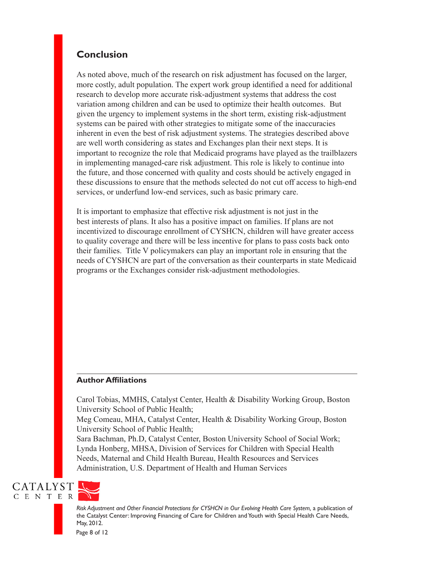#### **Conclusion**

As noted above, much of the research on risk adjustment has focused on the larger, more costly, adult population. The expert work group identified a need for additional research to develop more accurate risk-adjustment systems that address the cost variation among children and can be used to optimize their health outcomes. But given the urgency to implement systems in the short term, existing risk-adjustment systems can be paired with other strategies to mitigate some of the inaccuracies inherent in even the best of risk adjustment systems. The strategies described above are well worth considering as states and Exchanges plan their next steps. It is important to recognize the role that Medicaid programs have played as the trailblazers in implementing managed-care risk adjustment. This role is likely to continue into the future, and those concerned with quality and costs should be actively engaged in these discussions to ensure that the methods selected do not cut off access to high-end services, or underfund low-end services, such as basic primary care.

It is important to emphasize that effective risk adjustment is not just in the best interests of plans. It also has a positive impact on families. If plans are not incentivized to discourage enrollment of CYSHCN, children will have greater access to quality coverage and there will be less incentive for plans to pass costs back onto their families. Title V policymakers can play an important role in ensuring that the needs of CYSHCN are part of the conversation as their counterparts in state Medicaid programs or the Exchanges consider risk-adjustment methodologies.

#### **Author Affiliations**

Carol Tobias, MMHS, Catalyst Center, Health & Disability Working Group, Boston University School of Public Health;

Meg Comeau, MHA, Catalyst Center, Health & Disability Working Group, Boston University School of Public Health;

Sara Bachman, Ph.D, Catalyst Center, Boston University School of Social Work; Lynda Honberg, MHSA, Division of Services for Children with Special Health Needs, Maternal and Child Health Bureau, Health Resources and Services Administration, U.S. Department of Health and Human Services

CATALYST C E N T E R



*Risk Adjustment and Other Financial Protections for CYSHCN in Our Evolving Health Care System,* a publication of the Catalyst Center: Improving Financing of Care for Children and Youth with Special Health Care Needs, May, 2012.

Page 8 of 12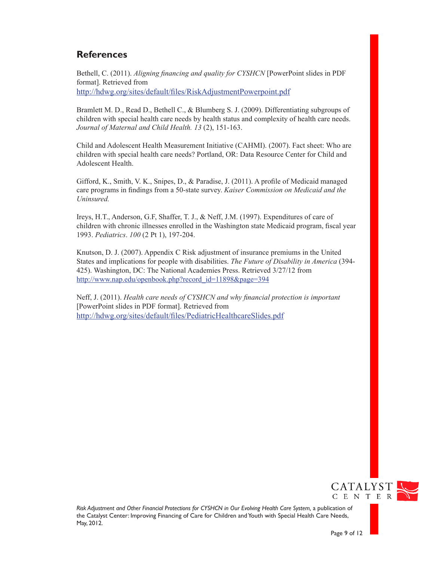### **References**

Bethell, C. (2011). *Aligning financing and quality for CYSHCN* [PowerPoint slides in PDF format]. Retrieved from http://hdwg.org/sites/default/files/RiskAdjustmentPowerpoint.pdf

Bramlett M. D., Read D., Bethell C., & Blumberg S. J. (2009). Differentiating subgroups of children with special health care needs by health status and complexity of health care needs. *Journal of Maternal and Child Health. 13* (2), 151-163.

Child and Adolescent Health Measurement Initiative (CAHMI). (2007). Fact sheet: Who are children with special health care needs? Portland, OR: Data Resource Center for Child and Adolescent Health.

Gifford, K., Smith, V. K., Snipes, D., & Paradise, J. (2011). A profile of Medicaid managed care programs in findings from a 50-state survey. *Kaiser Commission on Medicaid and the Uninsured.*

Ireys, H.T., Anderson, G.F, Shaffer, T. J., & Neff, J.M. (1997). Expenditures of care of children with chronic illnesses enrolled in the Washington state Medicaid program, fiscal year 1993. *Pediatrics*. *100* (2 Pt 1), 197-204.

Knutson, D. J. (2007). Appendix C Risk adjustment of insurance premiums in the United States and implications for people with disabilities. *The Future of Disability in America* (394- 425). Washington, DC: The National Academies Press. Retrieved 3/27/12 from [http://www.nap.edu/openbook.php?record\\_id=11898&page=394](http://www.nap.edu/openbook.php?record_id=11898&page=394)

Neff, J. (2011). *Health care needs of CYSHCN and why financial protection is important* [PowerPoint slides in PDF format]. Retrieved from <http://hdwg.org/sites/default/files/PediatricHealthcareSlides.pdf>

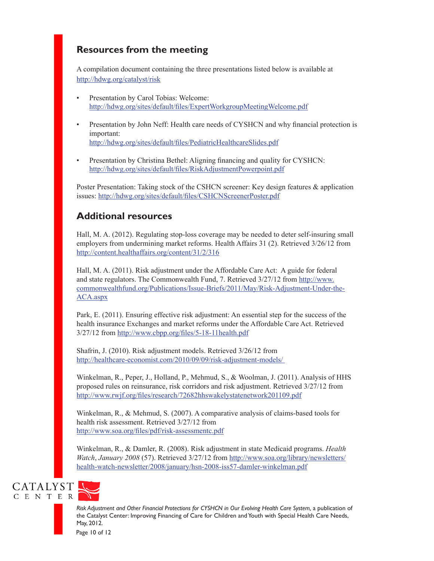## **Resources from the meeting**

A compilation document containing the three presentations listed below is available at <http://hdwg.org/catalyst/risk>

- • Presentation by Carol Tobias: Welcome: <http://hdwg.org/sites/default/files/ExpertWorkgroupMeetingWelcome.pdf>
- Presentation by John Neff: Health care needs of CYSHCN and why financial protection is important: [http://hdwg.org/sites/default/files/PediatricHealthcareSlides.pdf](http://hdwg.org/sites/default/files/PediatricHealthcareSlides.pdf
)
- [Presentation](http://hdwg.org/sites/default/files/PediatricHealthcareSlides.pdf
) by Christina Bethel: Aligning financing and quality for CYSHCN: [http://hdwg.org/sites/default/files/RiskAdjustmentPowerpoint.pdf](http://hdwg.org/sites/default/files/PediatricHealthcareSlides.pdf
)

Poster Presentation: Taking stock of the CSHCN screener: Key design features & application issues: <http://hdwg.org/sites/default/files/CSHCNScreenerPoster.pdf>

### **Additional resources**

Hall, M. A. (2012). Regulating stop-loss coverage may be needed to deter self-insuring small employers from undermining market reforms. Health Affairs 31 (2). Retrieved 3/26/12 from <http://content.healthaffairs.org/content/31/2/316>

Hall, M. A. (2011). Risk adjustment under the Affordable Care Act: A guide for federal and state regulators. The Commonwealth Fund, 7. Retrieved 3/27/12 from [http://www.](http://www.commonwealthfund.org/Publications/Issue-Briefs/2011/May/Risk-Adjustment-Under-the-ACA.aspx) [commonwealthfund.org/Publications/Issue-Briefs/2011/May/Risk-Adjustment-Under-the-](http://www.commonwealthfund.org/Publications/Issue-Briefs/2011/May/Risk-Adjustment-Under-the-ACA.aspx)[ACA.aspx](http://www.commonwealthfund.org/Publications/Issue-Briefs/2011/May/Risk-Adjustment-Under-the-ACA.aspx)

Park, E. (2011). Ensuring effective risk adjustment: An essential step for the success of the health insurance Exchanges and market reforms under the Affordable Care Act. Retrieved 3/27/12 from <http://www.cbpp.org/files/5-18-11health.pdf>

Shafrin, J. (2010). Risk adjustment models. Retrieved 3/26/12 from <http://healthcare-economist.com/2010/09/09/risk-adjustment-models/>

Winkelman, R., Peper, J., Holland, P., Mehmud, S., & Woolman, J. (2011). Analysis of HHS proposed rules on reinsurance, risk corridors and risk adjustment. Retrieved 3/27/12 from <http://www.rwjf.org/files/research/72682hhswakelystatenetwork201109.pdf>

Winkelman, R., & Mehmud, S. (2007). A comparative analysis of claims-based tools for health risk assessment. Retrieved 3/27/12 from [http://www.soa.org/files/pdf/risk-assessmentc.pdf](http://www.rwjf.org/files/research/72682hhswakelystatenetwork201109.pdf)

Winkelman, R., & Damler, R. (2008). Risk adjustment in state Medicaid programs. *Health Watch*, *January 2008* (57). Retrieved 3/27/12 from [http://www.soa.org/library/newsletters/](http://www.rwjf.org/files/research/72682hhswakelystatenetwork201109.pdf) [health-watch-newsletter/2008/january/hsn-2008-iss57-damler-winkelman.pdf](http://www.rwjf.org/files/research/72682hhswakelystatenetwork201109.pdf)





*Risk Adjustment and Other Financial Protections for CYSHCN in Our Evolving Health Care System,* a publication of the Catalyst Center: Improving Financing of Care for Children and Youth with Special Health Care Needs, May, 2012.

Page 10 of 12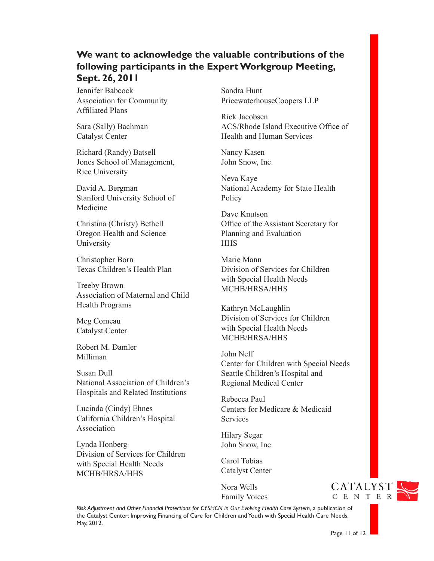### **We want to acknowledge the valuable contributions of the following participants in the Expert Workgroup Meeting, Sept. 26, 2011**

Jennifer Babcock Association for Community Affiliated Plans

Sara (Sally) Bachman Catalyst Center

Richard (Randy) Batsell Jones School of Management, Rice University

David A. Bergman Stanford University School of Medicine

Christina (Christy) Bethell Oregon Health and Science University

Christopher Born Texas Children's Health Plan

Treeby Brown Association of Maternal and Child Health Programs

Meg Comeau Catalyst Center

Robert M. Damler Milliman

Susan Dull National Association of Children's Hospitals and Related Institutions

Lucinda (Cindy) Ehnes California Children's Hospital Association

Lynda Honberg Division of Services for Children with Special Health Needs MCHB/HRSA/HHS

Sandra Hunt PricewaterhouseCoopers LLP

Rick Jacobsen ACS/Rhode Island Executive Office of Health and Human Services

Nancy Kasen John Snow, Inc.

Neva Kaye National Academy for State Health **Policy** 

Dave Knutson Office of the Assistant Secretary for Planning and Evaluation **HHS** 

Marie Mann Division of Services for Children with Special Health Needs MCHB/HRSA/HHS

Kathryn McLaughlin Division of Services for Children with Special Health Needs MCHB/HRSA/HHS

John Neff Center for Children with Special Needs Seattle Children's Hospital and Regional Medical Center

Rebecca Paul Centers for Medicare & Medicaid **Services** 

Hilary Segar John Snow, Inc.

Carol Tobias Catalyst Center

Nora Wells Family Voices CATALYST C E N T E R

*Risk Adjustment and Other Financial Protections for CYSHCN in Our Evolving Health Care System,* a publication of the Catalyst Center: Improving Financing of Care for Children and Youth with Special Health Care Needs, May, 2012.